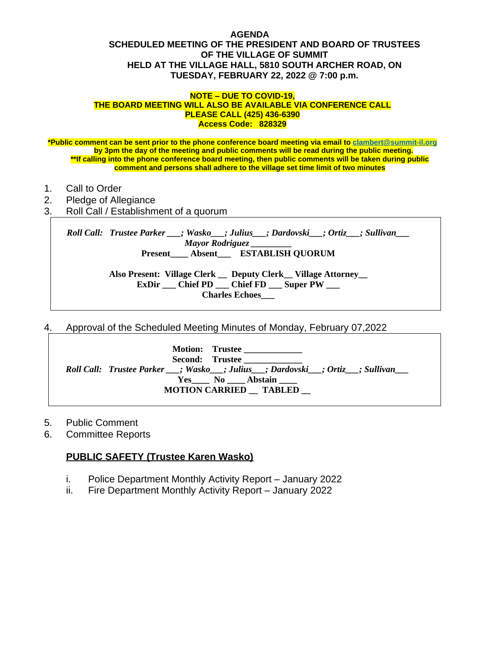### **AGENDA SCHEDULED MEETING OF THE PRESIDENT AND BOARD OF TRUSTEES OF THE VILLAGE OF SUMMIT HELD AT THE VILLAGE HALL, 5810 SOUTH ARCHER ROAD, ON TUESDAY, FEBRUARY 22, 2022 @ 7:00 p.m.**

#### **NOTE – DUE TO COVID-19, THE BOARD MEETING WILL ALSO BE AVAILABLE VIA CONFERENCE CALL PLEASE CALL (425) 436-6390 Access Code: 828329**

**\*Public comment can be sent prior to the phone conference board meeting via email to [clambert@summit-il.org](mailto:clambert@summit-il.org) by 3pm the day of the meeting and public comments will be read during the public meeting. \*\*If calling into the phone conference board meeting, then public comments will be taken during public comment and persons shall adhere to the village set time limit of two minutes**

- 1. Call to Order
- 2. Pledge of Allegiance
- 3. Roll Call / Establishment of a quorum

*Roll Call: Trustee Parker \_\_\_; Wasko\_\_\_; Julius\_\_\_; Dardovski\_\_\_; Ortiz\_\_\_; Sullivan\_\_\_ Mayor Rodriguez \_\_\_\_\_\_\_\_\_* **Present\_\_\_\_ Absent\_\_\_ ESTABLISH QUORUM**

> **Also Present: Village Clerk \_\_ Deputy Clerk\_\_ Village Attorney\_\_ ExDir \_\_\_ Chief PD \_\_\_ Chief FD \_\_\_ Super PW \_\_\_ Charles Echoes\_\_\_**

4. Approval of the Scheduled Meeting Minutes of Monday, February 07,2022

| Motion: Trustee<br>Second: Trustee<br>Roll Call: Trustee Parker __; Wasko __; Julius __; Dardovski __; Ortiz ___; Sullivan<br>Yes No Abstain<br><b>MOTION CARRIED TABLED</b> |
|------------------------------------------------------------------------------------------------------------------------------------------------------------------------------|
|------------------------------------------------------------------------------------------------------------------------------------------------------------------------------|

- 5. Public Comment
- 6. Committee Reports

# **PUBLIC SAFETY (Trustee Karen Wasko)**

- i. Police Department Monthly Activity Report January 2022
- ii. Fire Department Monthly Activity Report January 2022